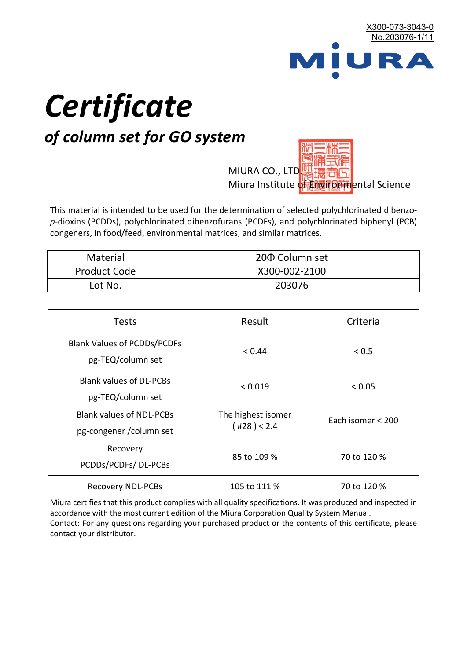

# *Certificate*

# *of column set for GO system*

MIURA CO., LTD. Miura Institute of 正版而解ental Science

This material is intended to be used for the determination of selected polychlorinated dibenzo*p*-dioxins (PCDDs), polychlorinated dibenzofurans (PCDFs), and polychlorinated biphenyl (PCB) congeners, in food/feed, environmental matrices, and similar matrices.

| <b>Material</b>     | 200 Column set |  |
|---------------------|----------------|--|
| <b>Product Code</b> | X300-002-2100  |  |
| Lot No.             | 203076         |  |

| <b>Tests</b>                                                | Result                            | Criteria          |
|-------------------------------------------------------------|-----------------------------------|-------------------|
| <b>Blank Values of PCDDs/PCDFs</b><br>pg-TEQ/column set     | < 0.44                            | < 0.5             |
| <b>Blank values of DL-PCBs</b><br>pg-TEQ/column set         | < 0.019                           | < 0.05            |
| <b>Blank values of NDL-PCBs</b><br>pg-congener / column set | The highest isomer<br>(428) < 2.4 | Each isomer < 200 |
| Recovery<br>PCDDs/PCDFs/DL-PCBs                             | 85 to 109 %                       | 70 to 120 %       |
| <b>Recovery NDL-PCBs</b>                                    | 105 to 111 %                      | 70 to 120 %       |

Miura certifies that this product complies with all quality specifications. It was produced and inspected in accordance with the most current edition of the Miura Corporation Quality System Manual. Contact: For any questions regarding your purchased product or the contents of this certificate, please contact your distributor.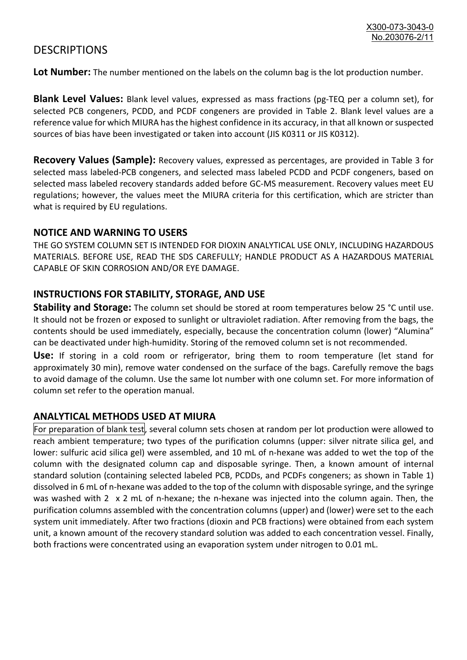## **DESCRIPTIONS**

**Lot Number:** The number mentioned on the labels on the column bag is the lot production number.

**Blank Level Values:** Blank level values, expressed as mass fractions (pg-TEQ per a column set), for selected PCB congeners, PCDD, and PCDF congeners are provided in Table 2. Blank level values are a reference value for which MIURA has the highest confidence in its accuracy, in that all known or suspected sources of bias have been investigated or taken into account (JIS K0311 or JIS K0312).

**Recovery Values (Sample):** Recovery values, expressed as percentages, are provided in Table 3 for selected mass labeled-PCB congeners, and selected mass labeled PCDD and PCDF congeners, based on selected mass labeled recovery standards added before GC-MS measurement. Recovery values meet EU regulations; however, the values meet the MIURA criteria for this certification, which are stricter than what is required by EU regulations.

#### **NOTICE AND WARNING TO USERS**

THE GO SYSTEM COLUMN SET IS INTENDED FOR DIOXIN ANALYTICAL USE ONLY, INCLUDING HAZARDOUS MATERIALS. BEFORE USE, READ THE SDS CAREFULLY; HANDLE PRODUCT AS A HAZARDOUS MATERIAL CAPABLE OF SKIN CORROSION AND/OR EYE DAMAGE.

#### **INSTRUCTIONS FOR STABILITY, STORAGE, AND USE**

**Stability and Storage:** The column set should be stored at room temperatures below 25 °C until use. It should not be frozen or exposed to sunlight or ultraviolet radiation. After removing from the bags, the contents should be used immediately, especially, because the concentration column (lower) "Alumina" can be deactivated under high-humidity. Storing of the removed column set is not recommended.

**Use:** If storing in a cold room or refrigerator, bring them to room temperature (let stand for approximately 30 min), remove water condensed on the surface of the bags. Carefully remove the bags to avoid damage of the column. Use the same lot number with one column set. For more information of column set refer to the operation manual.

### **ANALYTICAL METHODS USED AT MIURA**

For preparation of blank test, several column sets chosen at random per lot production were allowed to reach ambient temperature; two types of the purification columns (upper: silver nitrate silica gel, and lower: sulfuric acid silica gel) were assembled, and 10 mL of n-hexane was added to wet the top of the column with the designated column cap and disposable syringe. Then, a known amount of internal standard solution (containing selected labeled PCB, PCDDs, and PCDFs congeners; as shown in Table 1) dissolved in 6 mL of n-hexane was added to the top of the column with disposable syringe, and the syringe was washed with 2 x 2 mL of n-hexane; the n-hexane was injected into the column again. Then, the purification columns assembled with the concentration columns (upper) and (lower) were set to the each system unit immediately. After two fractions (dioxin and PCB fractions) were obtained from each system unit, a known amount of the recovery standard solution was added to each concentration vessel. Finally, both fractions were concentrated using an evaporation system under nitrogen to 0.01 mL.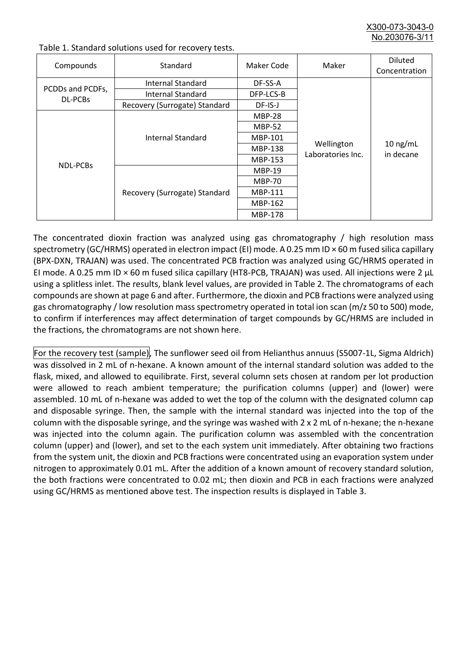X300-073-3043-0 No.203076-3/

| Compounds                          | Standard                      | Maker Code     | Maker                           | <b>Diluted</b><br>Concentration |
|------------------------------------|-------------------------------|----------------|---------------------------------|---------------------------------|
| PCDDs and PCDFs,<br><b>DL-PCBs</b> | Internal Standard             | DF-SS-A        |                                 | $10$ ng/mL<br>in decane         |
|                                    | <b>Internal Standard</b>      | DFP-LCS-B      | Wellington<br>Laboratories Inc. |                                 |
|                                    | Recovery (Surrogate) Standard | DF-IS-J        |                                 |                                 |
| <b>NDL-PCBs</b>                    | Internal Standard             | <b>MBP-28</b>  |                                 |                                 |
|                                    |                               | <b>MBP-52</b>  |                                 |                                 |
|                                    |                               | MBP-101        |                                 |                                 |
|                                    |                               | <b>MBP-138</b> |                                 |                                 |
|                                    |                               | MBP-153        |                                 |                                 |
|                                    | Recovery (Surrogate) Standard | <b>MBP-19</b>  |                                 |                                 |
|                                    |                               | <b>MBP-70</b>  |                                 |                                 |
|                                    |                               | MBP-111        |                                 |                                 |
|                                    |                               | MBP-162        |                                 |                                 |
|                                    |                               | <b>MBP-178</b> |                                 |                                 |

Table 1. Standard solutions used for recovery tests.

The concentrated dioxin fraction was analyzed using gas chromatography / high resolution mass spectrometry (GC/HRMS) operated in electron impact (EI) mode. A 0.25 mm ID × 60 m fused silica capillary (BPX-DXN, TRAJAN) was used. The concentrated PCB fraction was analyzed using GC/HRMS operated in EI mode. A 0.25 mm ID × 60 m fused silica capillary (HT8-PCB, TRAJAN) was used. All injections were 2 μL using a splitless inlet. The results, blank level values, are provided in Table 2. The chromatograms of each compounds are shown at page 6 and after. Furthermore, the dioxin and PCB fractions were analyzed using gas chromatography / low resolution mass spectrometry operated in total ion scan (m/z 50 to 500) mode, to confirm if interferences may affect determination of target compounds by GC/HRMS are included in the fractions, the chromatograms are not shown here.

For the recovery test (sample), The sunflower seed oil from Helianthus annuus (S5007-1L, Sigma Aldrich) was dissolved in 2 mL of n-hexane. A known amount of the internal standard solution was added to the flask, mixed, and allowed to equilibrate. First, several column sets chosen at random per lot production were allowed to reach ambient temperature; the purification columns (upper) and (lower) were assembled. 10 mL of n-hexane was added to wet the top of the column with the designated column cap and disposable syringe. Then, the sample with the internal standard was injected into the top of the column with the disposable syringe, and the syringe was washed with 2 x 2 mL of n-hexane; the n-hexane was injected into the column again. The purification column was assembled with the concentration column (upper) and (lower), and set to the each system unit immediately. After obtaining two fractions from the system unit, the dioxin and PCB fractions were concentrated using an evaporation system under nitrogen to approximately 0.01 mL. After the addition of a known amount of recovery standard solution, the both fractions were concentrated to 0.02 mL; then dioxin and PCB in each fractions were analyzed using GC/HRMS as mentioned above test. The inspection results is displayed in Table 3.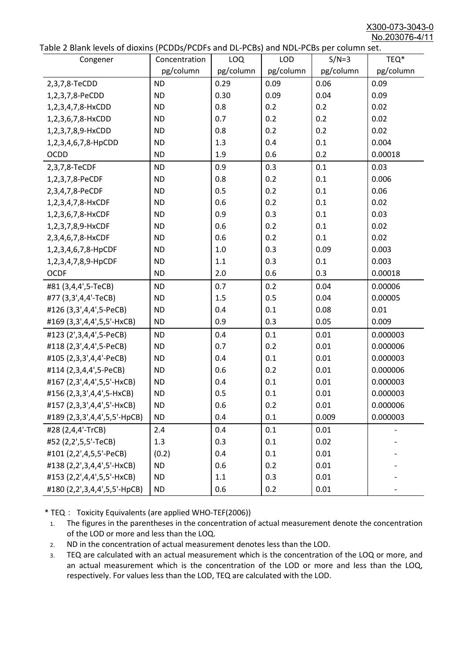X300-073-3043-0 No.203076-4/11

|  | Table 2 Blank levels of dioxins (PCDDs/PCDFs and DL-PCBs) and NDL-PCBs per column set. |
|--|----------------------------------------------------------------------------------------|
|--|----------------------------------------------------------------------------------------|

| abic 2 Diarik icveis of dioxins (I CDD3/TCDTs and DET CD3/ and NDET CD3 pcr column sett.<br>Congener | Concentration | <b>LOQ</b> | <b>LOD</b> | $S/N=3$   | TEQ*      |
|------------------------------------------------------------------------------------------------------|---------------|------------|------------|-----------|-----------|
|                                                                                                      | pg/column     | pg/column  | pg/column  | pg/column | pg/column |
| 2,3,7,8-TeCDD                                                                                        | <b>ND</b>     | 0.29       | 0.09       | 0.06      | 0.09      |
| 1,2,3,7,8-PeCDD                                                                                      | <b>ND</b>     | 0.30       | 0.09       | 0.04      | 0.09      |
| 1,2,3,4,7,8-HxCDD                                                                                    | <b>ND</b>     | 0.8        | 0.2        | 0.2       | 0.02      |
| 1,2,3,6,7,8-HxCDD                                                                                    | <b>ND</b>     | 0.7        | 0.2        | 0.2       | 0.02      |
| 1,2,3,7,8,9-HxCDD                                                                                    | <b>ND</b>     | 0.8        | 0.2        | 0.2       | 0.02      |
| 1,2,3,4,6,7,8-HpCDD                                                                                  | <b>ND</b>     | 1.3        | 0.4        | 0.1       | 0.004     |
| <b>OCDD</b>                                                                                          | <b>ND</b>     | 1.9        | 0.6        | 0.2       | 0.00018   |
| 2,3,7,8-TeCDF                                                                                        | <b>ND</b>     | 0.9        | 0.3        | 0.1       | 0.03      |
| 1,2,3,7,8-PeCDF                                                                                      | <b>ND</b>     | 0.8        | 0.2        | 0.1       | 0.006     |
| 2,3,4,7,8-PeCDF                                                                                      | <b>ND</b>     | 0.5        | 0.2        | 0.1       | 0.06      |
| 1,2,3,4,7,8-HxCDF                                                                                    | <b>ND</b>     | 0.6        | 0.2        | 0.1       | 0.02      |
| 1,2,3,6,7,8-HxCDF                                                                                    | <b>ND</b>     | 0.9        | 0.3        | 0.1       | 0.03      |
| 1,2,3,7,8,9-HxCDF                                                                                    | <b>ND</b>     | 0.6        | 0.2        | 0.1       | 0.02      |
| 2,3,4,6,7,8-HxCDF                                                                                    | <b>ND</b>     | 0.6        | 0.2        | 0.1       | 0.02      |
| 1,2,3,4,6,7,8-HpCDF                                                                                  | <b>ND</b>     | 1.0        | 0.3        | 0.09      | 0.003     |
| 1,2,3,4,7,8,9-HpCDF                                                                                  | <b>ND</b>     | 1.1        | 0.3        | 0.1       | 0.003     |
| <b>OCDF</b>                                                                                          | <b>ND</b>     | 2.0        | 0.6        | 0.3       | 0.00018   |
| #81 (3,4,4',5-TeCB)                                                                                  | <b>ND</b>     | 0.7        | 0.2        | 0.04      | 0.00006   |
| #77 (3,3',4,4'-TeCB)                                                                                 | <b>ND</b>     | 1.5        | 0.5        | 0.04      | 0.00005   |
| #126 (3,3',4,4',5-PeCB)                                                                              | <b>ND</b>     | 0.4        | 0.1        | 0.08      | 0.01      |
| #169 (3,3',4,4',5,5'-HxCB)                                                                           | <b>ND</b>     | 0.9        | 0.3        | 0.05      | 0.009     |
| #123 (2',3,4,4',5-PeCB)                                                                              | <b>ND</b>     | 0.4        | 0.1        | 0.01      | 0.000003  |
| #118 (2,3',4,4',5-PeCB)                                                                              | <b>ND</b>     | 0.7        | 0.2        | 0.01      | 0.000006  |
| #105 (2,3,3',4,4'-PeCB)                                                                              | <b>ND</b>     | 0.4        | 0.1        | 0.01      | 0.000003  |
| #114 (2,3,4,4',5-PeCB)                                                                               | <b>ND</b>     | 0.6        | 0.2        | 0.01      | 0.000006  |
| #167 (2,3',4,4',5,5'-HxCB)                                                                           | <b>ND</b>     | 0.4        | 0.1        | 0.01      | 0.000003  |
| #156 (2,3,3',4,4',5-HxCB)                                                                            | <b>ND</b>     | 0.5        | 0.1        | 0.01      | 0.000003  |
| #157 (2,3,3',4,4',5'-HxCB)                                                                           | <b>ND</b>     | 0.6        | 0.2        | 0.01      | 0.000006  |
| #189 (2,3,3',4,4',5,5'-HpCB)                                                                         | <b>ND</b>     | 0.4        | 0.1        | 0.009     | 0.000003  |
| #28 (2,4,4'-TrCB)                                                                                    | 2.4           | 0.4        | 0.1        | 0.01      |           |
| #52 (2,2',5,5'-TeCB)                                                                                 | 1.3           | 0.3        | 0.1        | 0.02      |           |
| #101 (2,2',4,5,5'-PeCB)                                                                              | (0.2)         | 0.4        | 0.1        | 0.01      |           |
| #138 (2,2',3,4,4',5'-HxCB)                                                                           | <b>ND</b>     | 0.6        | 0.2        | 0.01      |           |
| #153 (2,2',4,4',5,5'-HxCB)                                                                           | <b>ND</b>     | 1.1        | 0.3        | 0.01      |           |
| #180 (2,2',3,4,4',5,5'-HpCB)                                                                         | <b>ND</b>     | 0.6        | 0.2        | 0.01      |           |

\* TEQ: Toxicity Equivalents (are applied WHO-TEF(2006))

- 1. The figures in the parentheses in the concentration of actual measurement denote the concentration of the LOD or more and less than the LOQ.
- 2. ND in the concentration of actual measurement denotes less than the LOD.
- 3. TEQ are calculated with an actual measurement which is the concentration of the LOQ or more, and an actual measurement which is the concentration of the LOD or more and less than the LOQ, respectively. For values less than the LOD, TEQ are calculated with the LOD.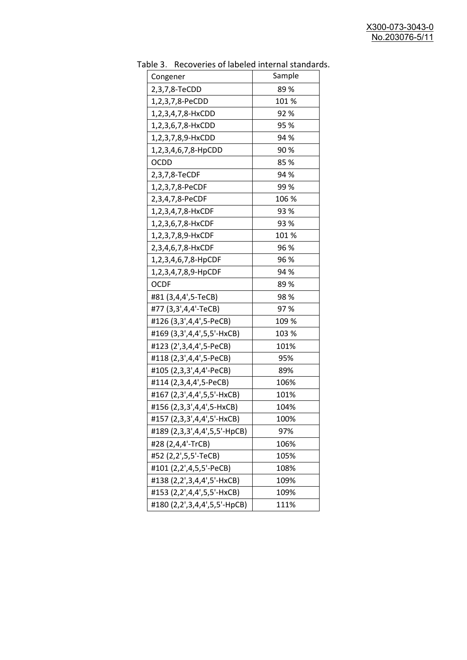| ישטי יש טי ישטי<br>Congener  | Sample |
|------------------------------|--------|
| 2,3,7,8-TeCDD                | 89%    |
| 1,2,3,7,8-PeCDD              | 101 %  |
| 1,2,3,4,7,8-HxCDD            | 92%    |
| 1,2,3,6,7,8-HxCDD            | 95 %   |
| 1,2,3,7,8,9-HxCDD            | 94 %   |
| 1,2,3,4,6,7,8-HpCDD          | 90%    |
| <b>OCDD</b>                  | 85%    |
| 2,3,7,8-TeCDF                | 94 %   |
| 1,2,3,7,8-PeCDF              | 99%    |
| 2,3,4,7,8-PeCDF              | 106 %  |
| 1,2,3,4,7,8-HxCDF            | 93 %   |
| 1,2,3,6,7,8-HxCDF            | 93 %   |
| 1,2,3,7,8,9-HxCDF            | 101 %  |
| 2,3,4,6,7,8-HxCDF            | 96 %   |
| 1,2,3,4,6,7,8-HpCDF          | 96 %   |
| 1,2,3,4,7,8,9-HpCDF          | 94 %   |
| <b>OCDF</b>                  | 89%    |
| #81 (3,4,4',5-TeCB)          | 98%    |
| #77 (3,3',4,4'-TeCB)         | 97%    |
| #126 (3,3',4,4',5-PeCB)      | 109 %  |
| #169 (3,3',4,4',5,5'-HxCB)   | 103 %  |
| #123 (2',3,4,4',5-PeCB)      | 101%   |
| #118 (2,3',4,4',5-PeCB)      | 95%    |
| #105 (2,3,3',4,4'-PeCB)      | 89%    |
| #114 (2,3,4,4',5-PeCB)       | 106%   |
| #167 (2,3',4,4',5,5'-HxCB)   | 101%   |
| #156 (2,3,3',4,4',5-HxCB)    | 104%   |
| #157 (2,3,3',4,4',5'-HxCB)   | 100%   |
| #189 (2,3,3',4,4',5,5'-HpCB) | 97%    |
| #28 (2,4,4'-TrCB)            | 106%   |
| #52 (2,2',5,5'-TeCB)         | 105%   |
| #101 (2,2',4,5,5'-PeCB)      | 108%   |
| #138 (2,2',3,4,4',5'-HxCB)   | 109%   |
| #153 (2,2',4,4',5,5'-HxCB)   | 109%   |
| #180 (2,2',3,4,4',5,5'-HpCB) | 111%   |

Table 3. Recoveries of labeled internal standards.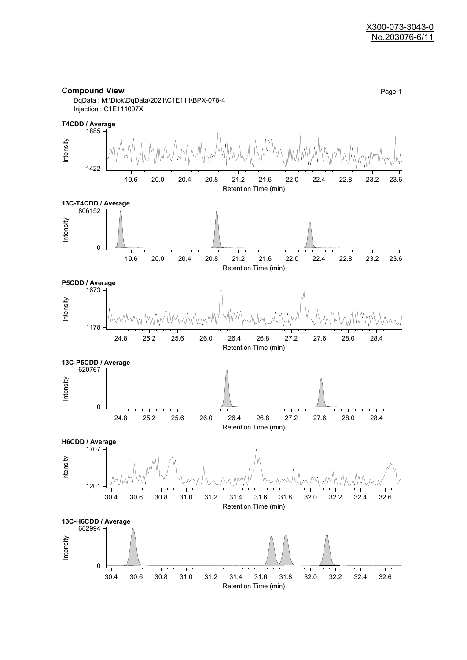#### **Compound View** Page 1



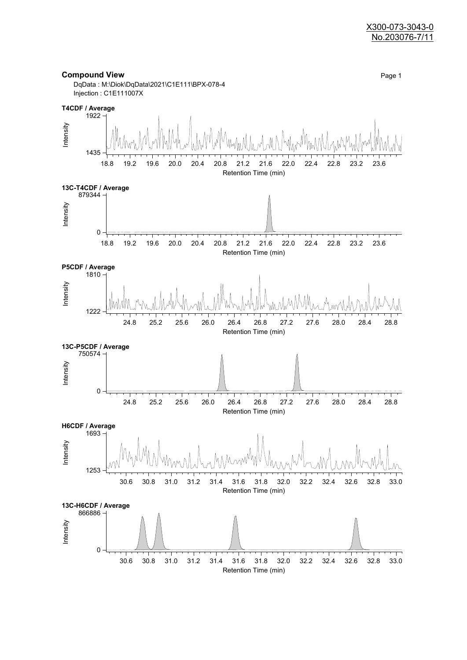#### X300-073-3043-0 No.203076-7/11

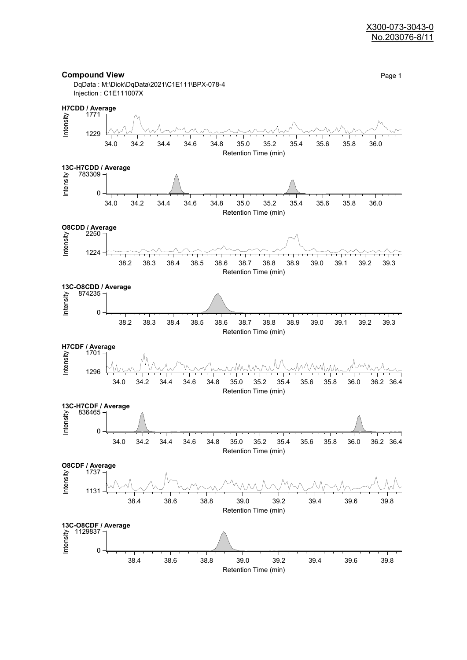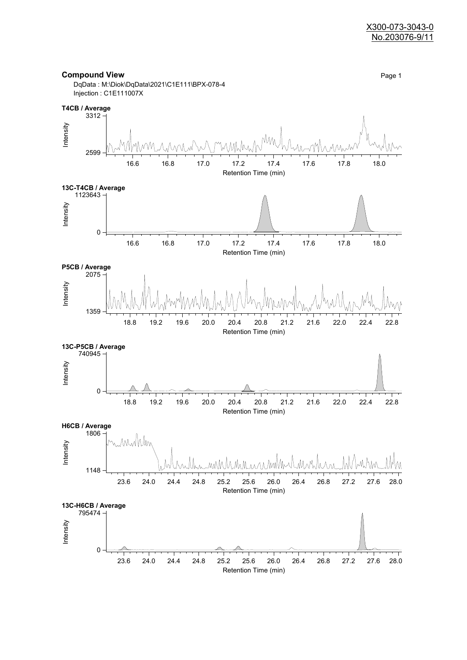

Retention Time (min)

**Compound View** Page 1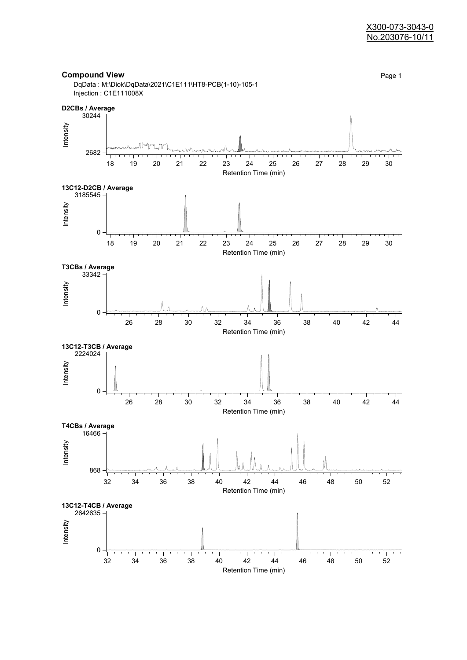